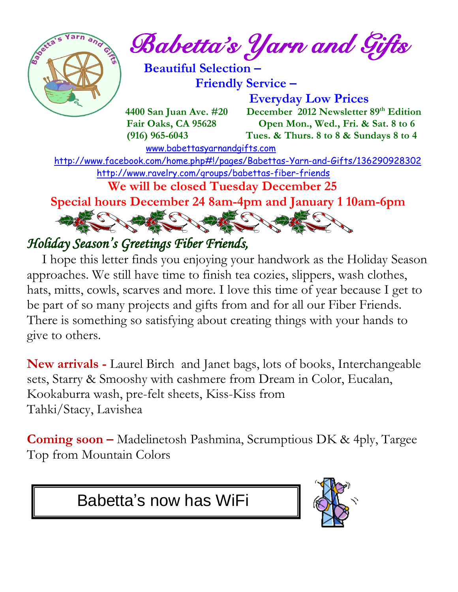

 $\frac{1}{2}$ <sup>Sexter and Gifts</sup>

 **Beautiful Selection – Friendly Service –**

 **Everyday Low Prices 4400 San Juan Ave. #20 December 2012 Newsletter 89<sup>th</sup> Edition Fair Oaks, CA 95628 Open Mon., Wed., Fri. & Sat. 8 to 6 (916) 965-6043 Tues. & Thurs. 8 to 8 & Sundays 8 to 4** 

 [www.babettasyarnandgifts.com](http://www.babettasyarnandgifts.com/) <http://www.facebook.com/home.php#!/pages/Babettas-Yarn-and-Gifts/136290928302> <http://www.ravelry.com/groups/babettas-fiber-friends>  **We will be closed Tuesday December 25 Special hours December 24 8am-4pm and January 1 10am-6pm**

# ECOMECO ARECTA

## *Holiday Season' s Greetings Fiber Friends,*

 I hope this letter finds you enjoying your handwork as the Holiday Season approaches. We still have time to finish tea cozies, slippers, wash clothes, hats, mitts, cowls, scarves and more. I love this time of year because I get to be part of so many projects and gifts from and for all our Fiber Friends. There is something so satisfying about creating things with your hands to give to others.

**New arrivals -** Laurel Birch and Janet bags, lots of books, Interchangeable sets, Starry & Smooshy with cashmere from Dream in Color, Eucalan, Kookaburra wash, pre-felt sheets, Kiss-Kiss from Tahki/Stacy, Lavishea

**Coming soon –** Madelinetosh Pashmina, Scrumptious DK & 4ply, Targee Top from Mountain Colors

Babetta's now has WiFi

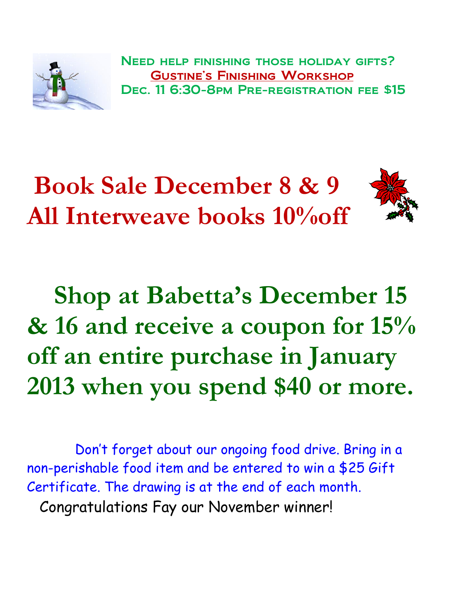

 Need help finishing those holiday gifts? Gustine's Finishing Workshop Dec. 11 6:30-8pm Pre-registration fee \$15



 **Shop at Babetta's December 15 & 16 and receive a coupon for 15% off an entire purchase in January 2013 when you spend \$40 or more.**

 Don't forget about our ongoing food drive. Bring in a non-perishable food item and be entered to win a \$25 Gift Certificate. The drawing is at the end of each month. Congratulations Fay our November winner!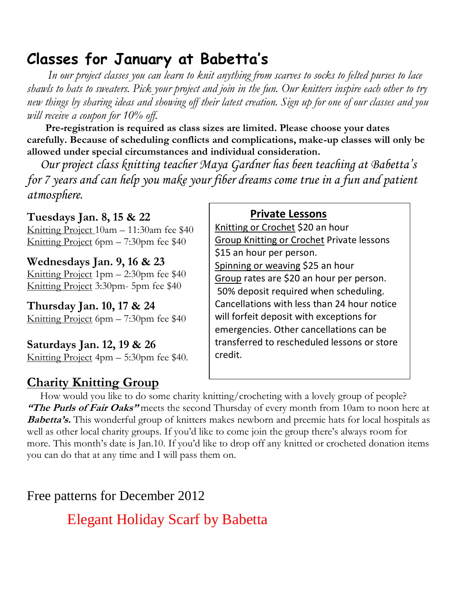## **Classes for January at Babetta's**

 *In our project classes you can learn to knit anything from scarves to socks to felted purses to lace shawls to hats to sweaters. Pick your project and join in the fun. Our knitters inspire each other to try new things by sharing ideas and showing off their latest creation. Sign up for one of our classes and you will receive a coupon for 10% off.*

 **Pre-registration is required as class sizes are limited. Please choose your dates carefully. Because of scheduling conflicts and complications, make-up classes will only be allowed under special circumstances and individual consideration.**

*Our project class knitting teacher Maya Gardner has been teaching at Babetta's for 7 years and can help you make your fiber dreams come true in a fun and patient atmosphere.*

**Tuesdays Jan. 8, 15 & 22** Knitting Project 10am – 11:30am fee \$40 Knitting Project 6pm – 7:30pm fee \$40

**Wednesdays Jan. 9, 16 & 23** Knitting Project 1pm – 2:30pm fee \$40 Knitting Project 3:30pm- 5pm fee \$40

**Thursday Jan. 10, 17 & 24** Knitting Project 6pm – 7:30pm fee \$40

**Saturdays Jan. 12, 19 & 26** Knitting Project 4pm – 5:30pm fee \$40.

#### **Charity Knitting Group**

#### **Private Lessons**

Knitting or Crochet \$20 an hour Group Knitting or Crochet Private lessons \$15 an hour per person. Spinning or weaving \$25 an hour Group rates are \$20 an hour per person. 50% deposit required when scheduling. Cancellations with less than 24 hour notice will forfeit deposit with exceptions for emergencies. Other cancellations can be transferred to rescheduled lessons or store credit.

 How would you like to do some charity knitting/crocheting with a lovely group of people? **"The Purls of Fair Oaks"** meets the second Thursday of every month from 10am to noon here at **Babetta's.** This wonderful group of knitters makes newborn and preemie hats for local hospitals as well as other local charity groups. If you'd like to come join the group there's always room for more. This month's date is Jan.10. If you'd like to drop off any knitted or crocheted donation items you can do that at any time and I will pass them on.

Free patterns for December 2012

Elegant Holiday Scarf by Babetta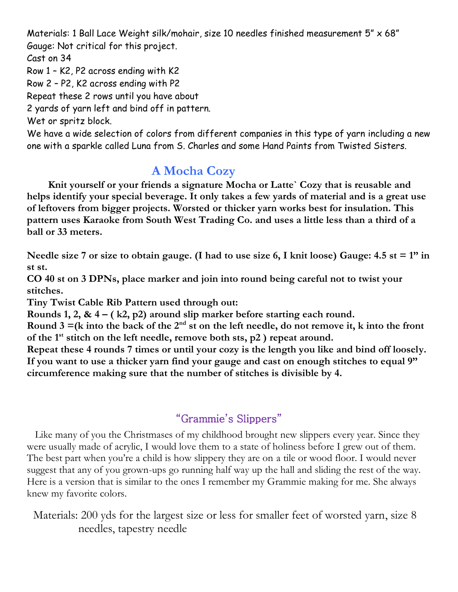Materials: 1 Ball Lace Weight silk/mohair, size 10 needles finished measurement 5" x 68" Gauge: Not critical for this project.

Cast on 34

Row 1 – K2, P2 across ending with K2

Row 2 – P2, K2 across ending with P2

Repeat these 2 rows until you have about

2 yards of yarn left and bind off in pattern.

Wet or spritz block.

We have a wide selection of colors from different companies in this type of yarn including a new one with a sparkle called Luna from S. Charles and some Hand Paints from Twisted Sisters.

### **A Mocha Cozy**

 **Knit yourself or your friends a signature Mocha or Latte` Cozy that is reusable and helps identify your special beverage. It only takes a few yards of material and is a great use of leftovers from bigger projects. Worsted or thicker yarn works best for insulation. This pattern uses Karaoke from South West Trading Co. and uses a little less than a third of a ball or 33 meters.**

**Needle size 7 or size to obtain gauge. (I had to use size 6, I knit loose) Gauge: 4.5 st = 1" in st st.** 

**CO 40 st on 3 DPNs, place marker and join into round being careful not to twist your stitches.**

**Tiny Twist Cable Rib Pattern used through out:** 

**Rounds 1, 2, & 4 – ( k2, p2) around slip marker before starting each round.**

Round  $3 = (k \text{ into the back of the } 2^{\text{nd}} \text{ st on the left needle, do not remove it, k into the front$ **of the 1st stitch on the left needle, remove both sts, p2 ) repeat around.**

**Repeat these 4 rounds 7 times or until your cozy is the length you like and bind off loosely. If you want to use a thicker yarn find your gauge and cast on enough stitches to equal 9" circumference making sure that the number of stitches is divisible by 4.** 

#### "Grammie's Slippers"

 Like many of you the Christmases of my childhood brought new slippers every year. Since they were usually made of acrylic, I would love them to a state of holiness before I grew out of them. The best part when you're a child is how slippery they are on a tile or wood floor. I would never suggest that any of you grown-ups go running half way up the hall and sliding the rest of the way. Here is a version that is similar to the ones I remember my Grammie making for me. She always knew my favorite colors.

Materials: 200 yds for the largest size or less for smaller feet of worsted yarn, size 8 needles, tapestry needle